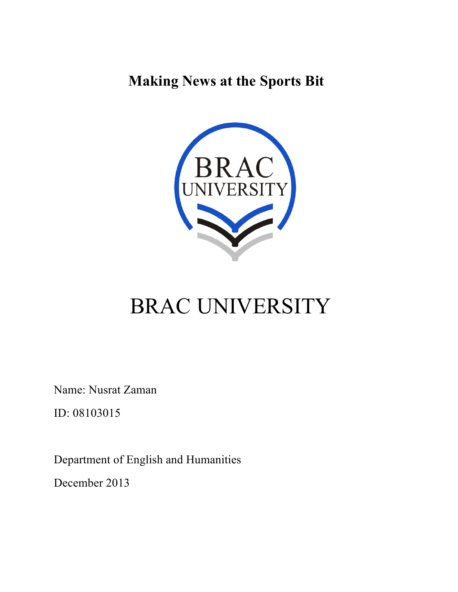**Making News at the Sports Bit**



# BRAC UNIVERSITY

Name: Nusrat Zaman

ID: 08103015

Department of English and Humanities

December 2013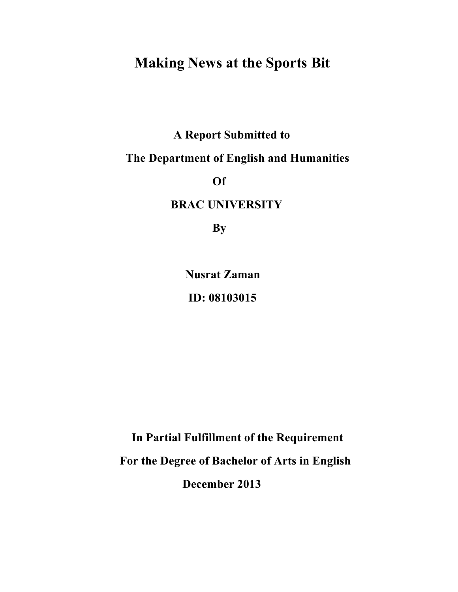# **Making News at the Sports Bit**

 **A Report Submitted to** 

# **The Department of English and Humanities**

*<u>Official and*  $\overline{Of}$  *of*  $\overline{Of}$  *of*  $\overline{Of}$  *of*  $\overline{Of}$  *of*  $\overline{Of}$  *of*  $\overline{Of}$  *of*  $\overline{Of}$  *of*  $\overline{Of}$  *of*  $\overline{Of}$  *of*  $\overline{Of}$  *of*  $\overline{Of}$  *of*  $\overline{Of}$  *of*  $\overline{Of}$  *of*  $\overline{Of}$  *of*  $\overline{Of}$  *of*  $\overline{Of}$  *o*</u>

 **BRAC UNIVERSITY**

**By** 

 **Nusrat Zaman ID: 08103015**

 **In Partial Fulfillment of the Requirement** 

 **For the Degree of Bachelor of Arts in English**

 **December 2013**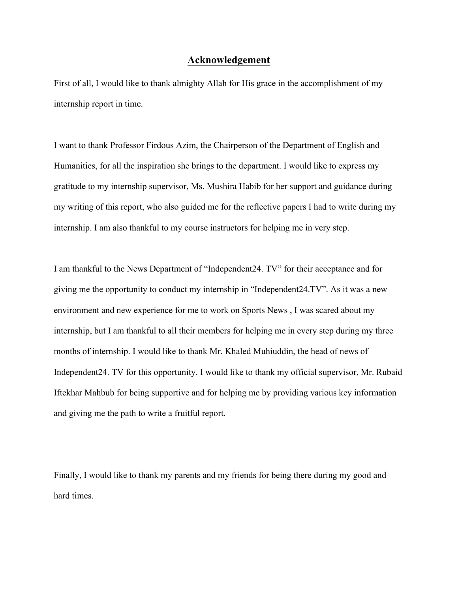## **Acknowledgement**

First of all, I would like to thank almighty Allah for His grace in the accomplishment of my internship report in time.

I want to thank Professor Firdous Azim, the Chairperson of the Department of English and Humanities, for all the inspiration she brings to the department. I would like to express my gratitude to my internship supervisor, Ms. Mushira Habib for her support and guidance during my writing of this report, who also guided me for the reflective papers I had to write during my internship. I am also thankful to my course instructors for helping me in very step.

I am thankful to the News Department of "Independent24. TV" for their acceptance and for giving me the opportunity to conduct my internship in "Independent24.TV". As it was a new environment and new experience for me to work on Sports News , I was scared about my internship, but I am thankful to all their members for helping me in every step during my three months of internship. I would like to thank Mr. Khaled Muhiuddin, the head of news of Independent24. TV for this opportunity. I would like to thank my official supervisor, Mr. Rubaid Iftekhar Mahbub for being supportive and for helping me by providing various key information and giving me the path to write a fruitful report.

Finally, I would like to thank my parents and my friends for being there during my good and hard times.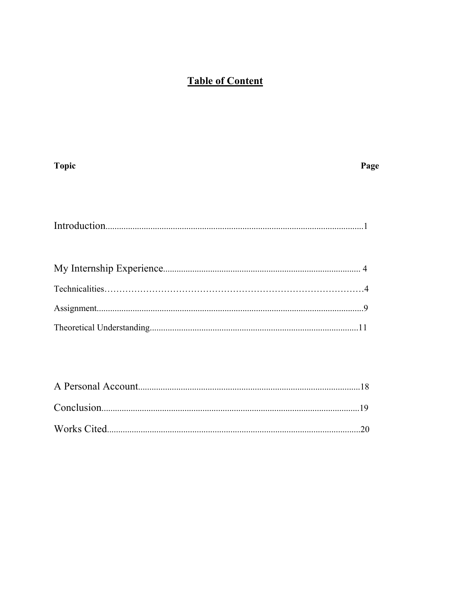# **Table of Content**

| <b>Topic</b>                         | Page |
|--------------------------------------|------|
|                                      |      |
|                                      |      |
|                                      |      |
|                                      |      |
|                                      |      |
|                                      |      |
|                                      |      |
|                                      |      |
|                                      |      |
| $\Lambda$ Dorsonal $\Lambda$ coquint | 1 O  |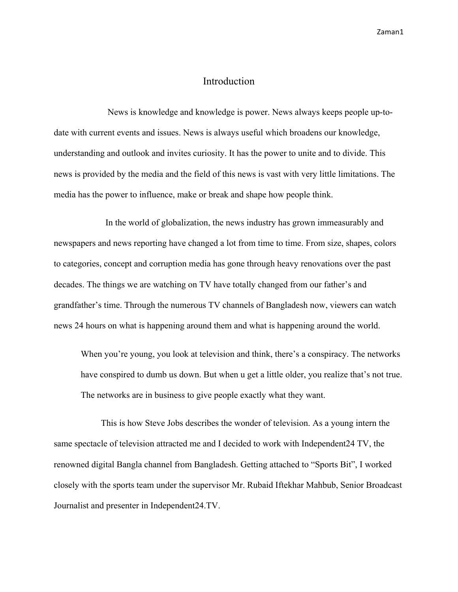#### Introduction

 News is knowledge and knowledge is power. News always keeps people up-todate with current events and issues. News is always useful which broadens our knowledge, understanding and outlook and invites curiosity. It has the power to unite and to divide. This news is provided by the media and the field of this news is vast with very little limitations. The media has the power to influence, make or break and shape how people think.

 In the world of globalization, the news industry has grown immeasurably and newspapers and news reporting have changed a lot from time to time. From size, shapes, colors to categories, concept and corruption media has gone through heavy renovations over the past decades. The things we are watching on TV have totally changed from our father's and grandfather's time. Through the numerous TV channels of Bangladesh now, viewers can watch news 24 hours on what is happening around them and what is happening around the world.

When you're young, you look at television and think, there's a conspiracy. The networks have conspired to dumb us down. But when u get a little older, you realize that's not true. The networks are in business to give people exactly what they want.

 This is how Steve Jobs describes the wonder of television. As a young intern the same spectacle of television attracted me and I decided to work with Independent24 TV, the renowned digital Bangla channel from Bangladesh. Getting attached to "Sports Bit", I worked closely with the sports team under the supervisor Mr. Rubaid Iftekhar Mahbub, Senior Broadcast Journalist and presenter in Independent24.TV.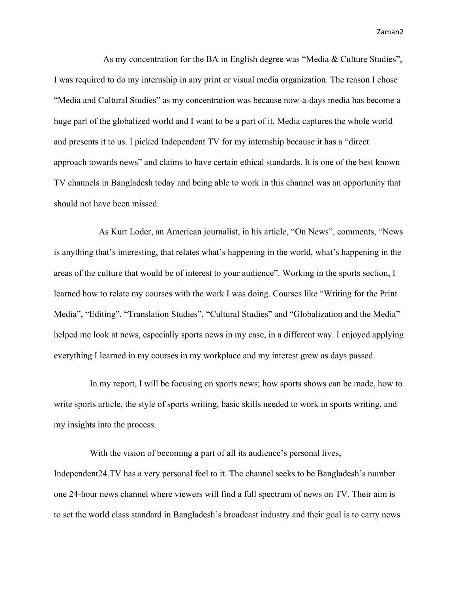As my concentration for the BA in English degree was "Media & Culture Studies", I was required to do my internship in any print or visual media organization. The reason I chose "Media and Cultural Studies" as my concentration was because now-a-days media has become a huge part of the globalized world and I want to be a part of it. Media captures the whole world and presents it to us. I picked Independent TV for my internship because it has a "direct approach towards news" and claims to have certain ethical standards. It is one of the best known TV channels in Bangladesh today and being able to work in this channel was an opportunity that should not have been missed.

 As Kurt Loder, an American journalist, in his article, "On News", comments, "News is anything that's interesting, that relates what's happening in the world, what's happening in the areas of the culture that would be of interest to your audience". Working in the sports section, I learned how to relate my courses with the work I was doing. Courses like "Writing for the Print Media", "Editing", "Translation Studies", "Cultural Studies" and "Globalization and the Media" helped me look at news, especially sports news in my case, in a different way. I enjoyed applying everything I learned in my courses in my workplace and my interest grew as days passed.

 In my report, I will be focusing on sports news; how sports shows can be made, how to write sports article, the style of sports writing, basic skills needed to work in sports writing, and my insights into the process.

 With the vision of becoming a part of all its audience's personal lives, Independent24.TV has a very personal feel to it. The channel seeks to be Bangladesh's number one 24-hour news channel where viewers will find a full spectrum of news on TV. Their aim is to set the world class standard in Bangladesh's broadcast industry and their goal is to carry news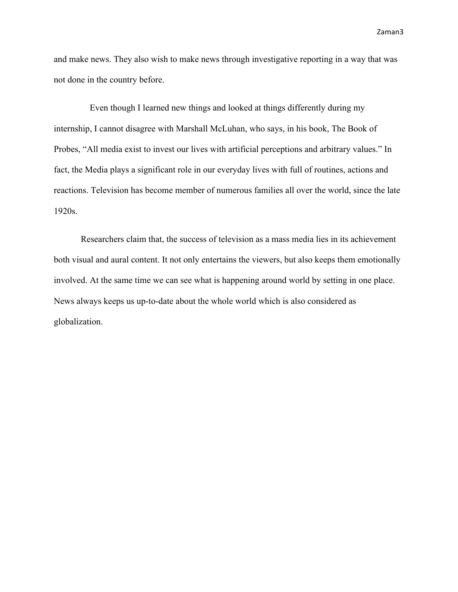and make news. They also wish to make news through investigative reporting in a way that was not done in the country before.

 Even though I learned new things and looked at things differently during my internship, I cannot disagree with Marshall McLuhan, who says, in his book, The Book of Probes, "All media exist to invest our lives with artificial perceptions and arbitrary values." In fact, the Media plays a significant role in our everyday lives with full of routines, actions and reactions. Television has become member of numerous families all over the world, since the late 1920s.

Researchers claim that, the success of television as a mass media lies in its achievement both visual and aural content. It not only entertains the viewers, but also keeps them emotionally involved. At the same time we can see what is happening around world by setting in one place. News always keeps us up-to-date about the whole world which is also considered as globalization.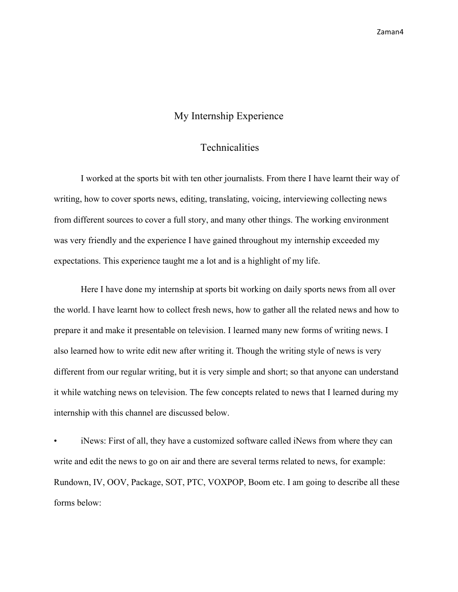## My Internship Experience

#### **Technicalities**

I worked at the sports bit with ten other journalists. From there I have learnt their way of writing, how to cover sports news, editing, translating, voicing, interviewing collecting news from different sources to cover a full story, and many other things. The working environment was very friendly and the experience I have gained throughout my internship exceeded my expectations. This experience taught me a lot and is a highlight of my life.

Here I have done my internship at sports bit working on daily sports news from all over the world. I have learnt how to collect fresh news, how to gather all the related news and how to prepare it and make it presentable on television. I learned many new forms of writing news. I also learned how to write edit new after writing it. Though the writing style of news is very different from our regular writing, but it is very simple and short; so that anyone can understand it while watching news on television. The few concepts related to news that I learned during my internship with this channel are discussed below.

• iNews: First of all, they have a customized software called iNews from where they can write and edit the news to go on air and there are several terms related to news, for example: Rundown, IV, OOV, Package, SOT, PTC, VOXPOP, Boom etc. I am going to describe all these forms below: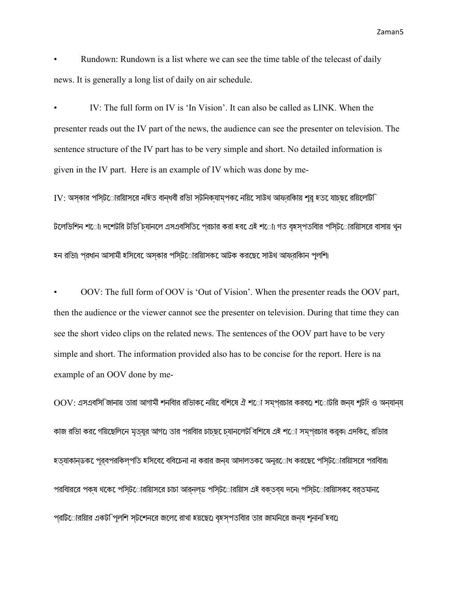• Rundown: Rundown is a list where we can see the time table of the telecast of daily news. It is generally a long list of daily on air schedule.

• IV: The full form on IV is 'In Vision'. It can also be called as LINK. When the presenter reads out the IV part of the news, the audience can see the presenter on television. The sentence structure of the IV part has to be very simple and short. No detailed information is given in the IV part. Here is an example of IV which was done by me-

 $IV$ : অস্কার পসি্ট**োরয়ািসরে নহিত বান্ধবী র**ভাি স্টনিক্যাম্পক েনয়ি সােউথ আফরকিায় শর হত েযাচছ েরয়িলেটি টলেভিশিন শ**ো। দশেটরি টভি চিযানলে এসএবসিতি** পেরচার করা হব**েএই শ**ো। গত বহসপতবাির পসিট**োরয়ািস**রে বাসায় খন হন রিভা। প্রধান আসামী হিসেবে অস্কার পিস্টোরিয়াসকে আটক করেছে সাউথ আফ্রিকান পুলিশ।

• OOV: The full form of OOV is 'Out of Vision'. When the presenter reads the OOV part, then the audience or the viewer cannot see the presenter on television. During that time they can see the short video clips on the related news. The sentences of the OOV part have to be very simple and short. The information provided also has to be concise for the report. Here is na example of an OOV done by me-

 $\mathrm{OOV}$ : এসএবসি জানায় তারা আগামী শনবিার রভািক েনয়ি বেশিষে ঐ শ**ো সম্প্রচার করব**ে। শ**োটরি জন্য শুট**ি ও অন্যান্য কাজ রন্ডিা কররে গয়িছেলিনে মৃত্যুর আগএে তার পরবিার চাচ্ছ েচযানলেট বিশিষে এই শ**ো সমপরচার করুক। এদকি**েরভিার হত্যাকান্ডকে পূর্বপরিকল্পিত হিসেবে বিবেচনা না করার জন্য আদালতকে অনুরোধ করেছে পিস্টোরিয়াসের পরিবার। পরবািররে পক্ষ থকে েপসি্টোরয়ািসরে চাচা আর্নল্ড পসি্টোরেয়ািস এই বক্তব্য দনে। পসি্টোরয়ািসক েবর্তমান প্রটিোরয়াির একট পিলশি স্টশেনরে জলে রাখা হয়ছে।ে বৃহস্পতবাির তার জামনিরে জন্য শুনান হিব।ে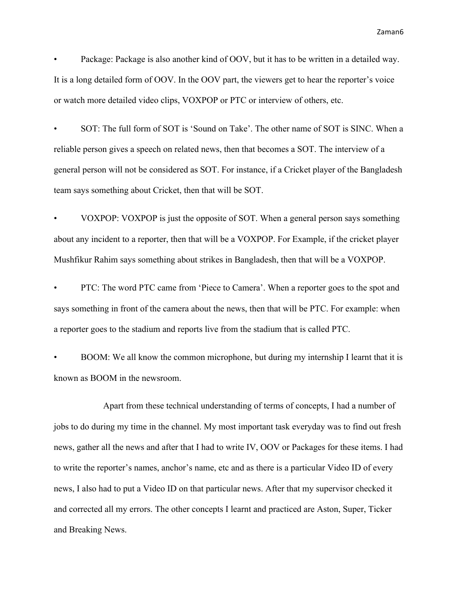Package: Package is also another kind of OOV, but it has to be written in a detailed way. It is a long detailed form of OOV. In the OOV part, the viewers get to hear the reporter's voice or watch more detailed video clips, VOXPOP or PTC or interview of others, etc.

• SOT: The full form of SOT is 'Sound on Take'. The other name of SOT is SINC. When a reliable person gives a speech on related news, then that becomes a SOT. The interview of a general person will not be considered as SOT. For instance, if a Cricket player of the Bangladesh team says something about Cricket, then that will be SOT.

• VOXPOP: VOXPOP is just the opposite of SOT. When a general person says something about any incident to a reporter, then that will be a VOXPOP. For Example, if the cricket player Mushfikur Rahim says something about strikes in Bangladesh, then that will be a VOXPOP.

• PTC: The word PTC came from 'Piece to Camera'. When a reporter goes to the spot and says something in front of the camera about the news, then that will be PTC. For example: when a reporter goes to the stadium and reports live from the stadium that is called PTC.

• BOOM: We all know the common microphone, but during my internship I learnt that it is known as BOOM in the newsroom.

 Apart from these technical understanding of terms of concepts, I had a number of jobs to do during my time in the channel. My most important task everyday was to find out fresh news, gather all the news and after that I had to write IV, OOV or Packages for these items. I had to write the reporter's names, anchor's name, etc and as there is a particular Video ID of every news, I also had to put a Video ID on that particular news. After that my supervisor checked it and corrected all my errors. The other concepts I learnt and practiced are Aston, Super, Ticker and Breaking News.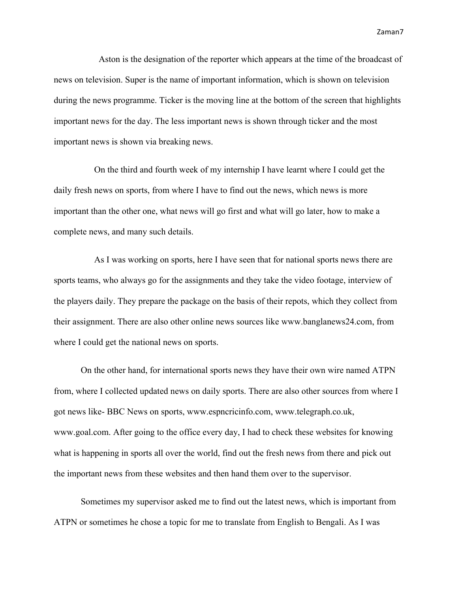Aston is the designation of the reporter which appears at the time of the broadcast of news on television. Super is the name of important information, which is shown on television during the news programme. Ticker is the moving line at the bottom of the screen that highlights important news for the day. The less important news is shown through ticker and the most important news is shown via breaking news.

 On the third and fourth week of my internship I have learnt where I could get the daily fresh news on sports, from where I have to find out the news, which news is more important than the other one, what news will go first and what will go later, how to make a complete news, and many such details.

 As I was working on sports, here I have seen that for national sports news there are sports teams, who always go for the assignments and they take the video footage, interview of the players daily. They prepare the package on the basis of their repots, which they collect from their assignment. There are also other online news sources like www.banglanews24.com, from where I could get the national news on sports.

On the other hand, for international sports news they have their own wire named ATPN from, where I collected updated news on daily sports. There are also other sources from where I got news like- BBC News on sports, www.espncricinfo.com, www.telegraph.co.uk, www.goal.com. After going to the office every day, I had to check these websites for knowing what is happening in sports all over the world, find out the fresh news from there and pick out the important news from these websites and then hand them over to the supervisor.

Sometimes my supervisor asked me to find out the latest news, which is important from ATPN or sometimes he chose a topic for me to translate from English to Bengali. As I was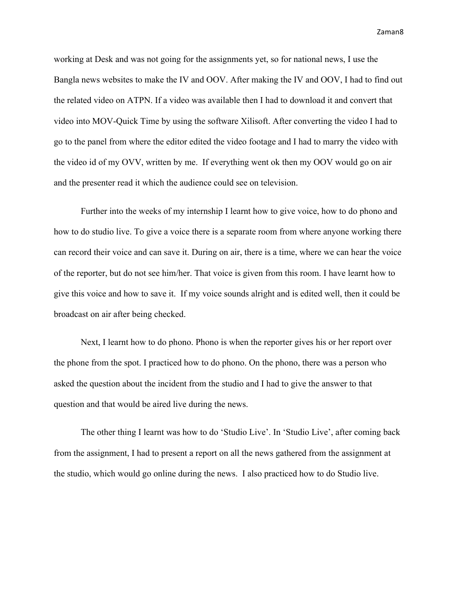working at Desk and was not going for the assignments yet, so for national news, I use the Bangla news websites to make the IV and OOV. After making the IV and OOV, I had to find out the related video on ATPN. If a video was available then I had to download it and convert that video into MOV-Quick Time by using the software Xilisoft. After converting the video I had to go to the panel from where the editor edited the video footage and I had to marry the video with the video id of my OVV, written by me. If everything went ok then my OOV would go on air and the presenter read it which the audience could see on television.

Further into the weeks of my internship I learnt how to give voice, how to do phono and how to do studio live. To give a voice there is a separate room from where anyone working there can record their voice and can save it. During on air, there is a time, where we can hear the voice of the reporter, but do not see him/her. That voice is given from this room. I have learnt how to give this voice and how to save it. If my voice sounds alright and is edited well, then it could be broadcast on air after being checked.

Next, I learnt how to do phono. Phono is when the reporter gives his or her report over the phone from the spot. I practiced how to do phono. On the phono, there was a person who asked the question about the incident from the studio and I had to give the answer to that question and that would be aired live during the news.

The other thing I learnt was how to do 'Studio Live'. In 'Studio Live', after coming back from the assignment, I had to present a report on all the news gathered from the assignment at the studio, which would go online during the news. I also practiced how to do Studio live.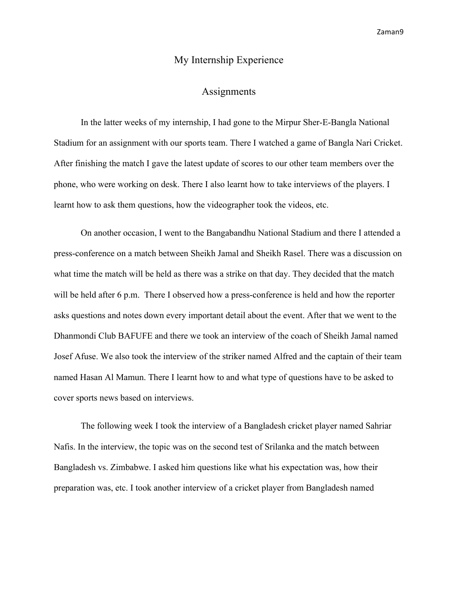## My Internship Experience

#### **Assignments**

In the latter weeks of my internship, I had gone to the Mirpur Sher-E-Bangla National Stadium for an assignment with our sports team. There I watched a game of Bangla Nari Cricket. After finishing the match I gave the latest update of scores to our other team members over the phone, who were working on desk. There I also learnt how to take interviews of the players. I learnt how to ask them questions, how the videographer took the videos, etc.

On another occasion, I went to the Bangabandhu National Stadium and there I attended a press-conference on a match between Sheikh Jamal and Sheikh Rasel. There was a discussion on what time the match will be held as there was a strike on that day. They decided that the match will be held after 6 p.m. There I observed how a press-conference is held and how the reporter asks questions and notes down every important detail about the event. After that we went to the Dhanmondi Club BAFUFE and there we took an interview of the coach of Sheikh Jamal named Josef Afuse. We also took the interview of the striker named Alfred and the captain of their team named Hasan Al Mamun. There I learnt how to and what type of questions have to be asked to cover sports news based on interviews.

The following week I took the interview of a Bangladesh cricket player named Sahriar Nafis. In the interview, the topic was on the second test of Srilanka and the match between Bangladesh vs. Zimbabwe. I asked him questions like what his expectation was, how their preparation was, etc. I took another interview of a cricket player from Bangladesh named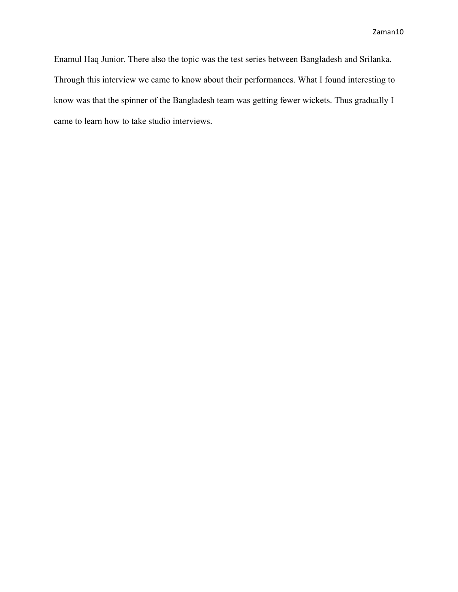Enamul Haq Junior. There also the topic was the test series between Bangladesh and Srilanka. Through this interview we came to know about their performances. What I found interesting to know was that the spinner of the Bangladesh team was getting fewer wickets. Thus gradually I came to learn how to take studio interviews.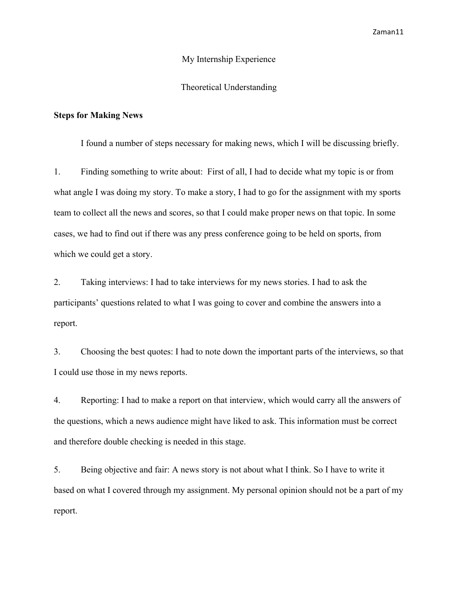#### My Internship Experience

#### Theoretical Understanding

#### **Steps for Making News**

I found a number of steps necessary for making news, which I will be discussing briefly.

1. Finding something to write about: First of all, I had to decide what my topic is or from what angle I was doing my story. To make a story, I had to go for the assignment with my sports team to collect all the news and scores, so that I could make proper news on that topic. In some cases, we had to find out if there was any press conference going to be held on sports, from which we could get a story.

2. Taking interviews: I had to take interviews for my news stories. I had to ask the participants' questions related to what I was going to cover and combine the answers into a report.

3. Choosing the best quotes: I had to note down the important parts of the interviews, so that I could use those in my news reports.

4. Reporting: I had to make a report on that interview, which would carry all the answers of the questions, which a news audience might have liked to ask. This information must be correct and therefore double checking is needed in this stage.

5. Being objective and fair: A news story is not about what I think. So I have to write it based on what I covered through my assignment. My personal opinion should not be a part of my report.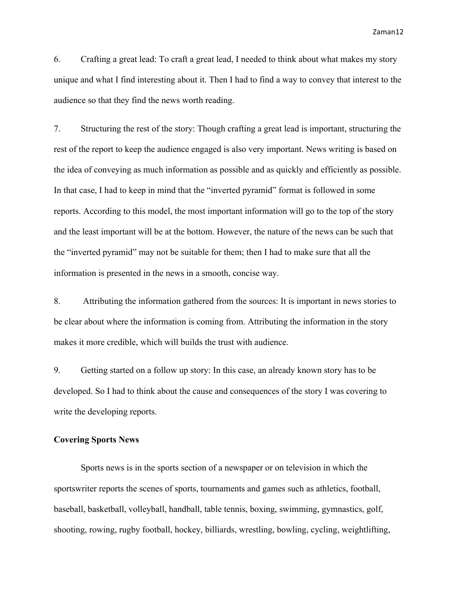6. Crafting a great lead: To craft a great lead, I needed to think about what makes my story unique and what I find interesting about it. Then I had to find a way to convey that interest to the audience so that they find the news worth reading.

7. Structuring the rest of the story: Though crafting a great lead is important, structuring the rest of the report to keep the audience engaged is also very important. News writing is based on the idea of conveying as much information as possible and as quickly and efficiently as possible. In that case, I had to keep in mind that the "inverted pyramid" format is followed in some reports. According to this model, the most important information will go to the top of the story and the least important will be at the bottom. However, the nature of the news can be such that the "inverted pyramid" may not be suitable for them; then I had to make sure that all the information is presented in the news in a smooth, concise way.

8. Attributing the information gathered from the sources: It is important in news stories to be clear about where the information is coming from. Attributing the information in the story makes it more credible, which will builds the trust with audience.

9. Getting started on a follow up story: In this case, an already known story has to be developed. So I had to think about the cause and consequences of the story I was covering to write the developing reports.

#### **Covering Sports News**

Sports news is in the sports section of a newspaper or on television in which the sportswriter reports the scenes of sports, tournaments and games such as athletics, football, baseball, basketball, volleyball, handball, table tennis, boxing, swimming, gymnastics, golf, shooting, rowing, rugby football, hockey, billiards, wrestling, bowling, cycling, weightlifting,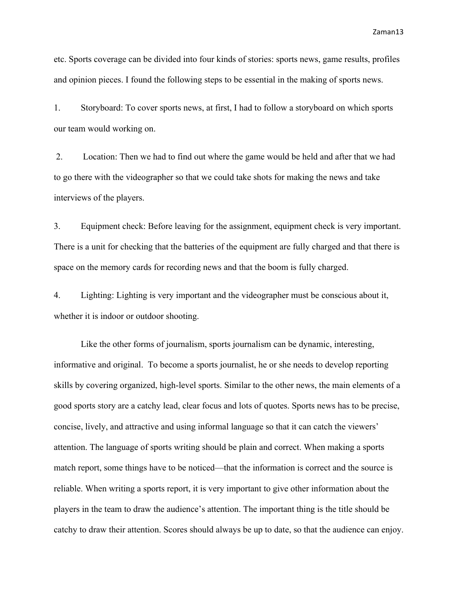etc. Sports coverage can be divided into four kinds of stories: sports news, game results, profiles and opinion pieces. I found the following steps to be essential in the making of sports news.

1. Storyboard: To cover sports news, at first, I had to follow a storyboard on which sports our team would working on.

2. Location: Then we had to find out where the game would be held and after that we had to go there with the videographer so that we could take shots for making the news and take interviews of the players.

3. Equipment check: Before leaving for the assignment, equipment check is very important. There is a unit for checking that the batteries of the equipment are fully charged and that there is space on the memory cards for recording news and that the boom is fully charged.

4. Lighting: Lighting is very important and the videographer must be conscious about it, whether it is indoor or outdoor shooting.

Like the other forms of journalism, sports journalism can be dynamic, interesting, informative and original. To become a sports journalist, he or she needs to develop reporting skills by covering organized, high-level sports. Similar to the other news, the main elements of a good sports story are a catchy lead, clear focus and lots of quotes. Sports news has to be precise, concise, lively, and attractive and using informal language so that it can catch the viewers' attention. The language of sports writing should be plain and correct. When making a sports match report, some things have to be noticed—that the information is correct and the source is reliable. When writing a sports report, it is very important to give other information about the players in the team to draw the audience's attention. The important thing is the title should be catchy to draw their attention. Scores should always be up to date, so that the audience can enjoy.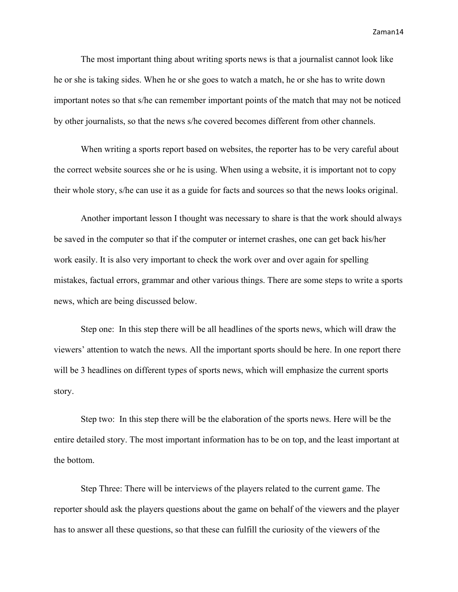The most important thing about writing sports news is that a journalist cannot look like he or she is taking sides. When he or she goes to watch a match, he or she has to write down important notes so that s/he can remember important points of the match that may not be noticed by other journalists, so that the news s/he covered becomes different from other channels.

When writing a sports report based on websites, the reporter has to be very careful about the correct website sources she or he is using. When using a website, it is important not to copy their whole story, s/he can use it as a guide for facts and sources so that the news looks original.

Another important lesson I thought was necessary to share is that the work should always be saved in the computer so that if the computer or internet crashes, one can get back his/her work easily. It is also very important to check the work over and over again for spelling mistakes, factual errors, grammar and other various things. There are some steps to write a sports news, which are being discussed below.

Step one: In this step there will be all headlines of the sports news, which will draw the viewers' attention to watch the news. All the important sports should be here. In one report there will be 3 headlines on different types of sports news, which will emphasize the current sports story.

Step two: In this step there will be the elaboration of the sports news. Here will be the entire detailed story. The most important information has to be on top, and the least important at the bottom.

Step Three: There will be interviews of the players related to the current game. The reporter should ask the players questions about the game on behalf of the viewers and the player has to answer all these questions, so that these can fulfill the curiosity of the viewers of the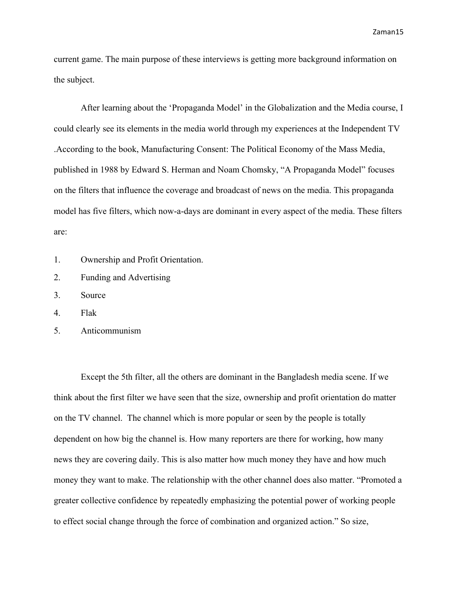current game. The main purpose of these interviews is getting more background information on the subject.

After learning about the 'Propaganda Model' in the Globalization and the Media course, I could clearly see its elements in the media world through my experiences at the Independent TV .According to the book, Manufacturing Consent: The Political Economy of the Mass Media, published in 1988 by Edward S. Herman and Noam Chomsky, "A Propaganda Model" focuses on the filters that influence the coverage and broadcast of news on the media. This propaganda model has five filters, which now-a-days are dominant in every aspect of the media. These filters are:

- 1. Ownership and Profit Orientation.
- 2. Funding and Advertising
- 3. Source
- 4. Flak
- 5. Anticommunism

Except the 5th filter, all the others are dominant in the Bangladesh media scene. If we think about the first filter we have seen that the size, ownership and profit orientation do matter on the TV channel. The channel which is more popular or seen by the people is totally dependent on how big the channel is. How many reporters are there for working, how many news they are covering daily. This is also matter how much money they have and how much money they want to make. The relationship with the other channel does also matter. "Promoted a greater collective confidence by repeatedly emphasizing the potential power of working people to effect social change through the force of combination and organized action." So size,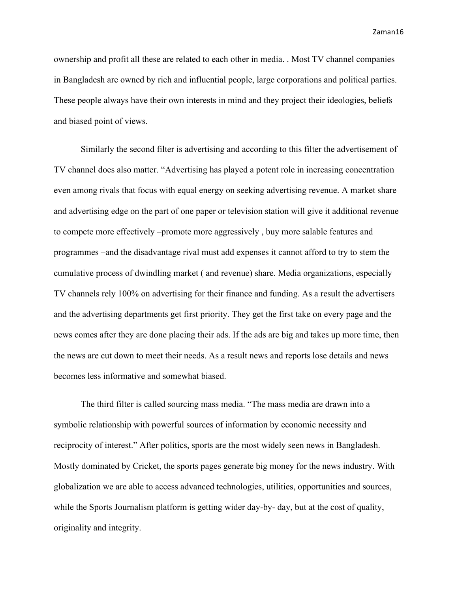ownership and profit all these are related to each other in media. . Most TV channel companies in Bangladesh are owned by rich and influential people, large corporations and political parties. These people always have their own interests in mind and they project their ideologies, beliefs and biased point of views.

Similarly the second filter is advertising and according to this filter the advertisement of TV channel does also matter. "Advertising has played a potent role in increasing concentration even among rivals that focus with equal energy on seeking advertising revenue. A market share and advertising edge on the part of one paper or television station will give it additional revenue to compete more effectively –promote more aggressively , buy more salable features and programmes –and the disadvantage rival must add expenses it cannot afford to try to stem the cumulative process of dwindling market ( and revenue) share. Media organizations, especially TV channels rely 100% on advertising for their finance and funding. As a result the advertisers and the advertising departments get first priority. They get the first take on every page and the news comes after they are done placing their ads. If the ads are big and takes up more time, then the news are cut down to meet their needs. As a result news and reports lose details and news becomes less informative and somewhat biased.

The third filter is called sourcing mass media. "The mass media are drawn into a symbolic relationship with powerful sources of information by economic necessity and reciprocity of interest." After politics, sports are the most widely seen news in Bangladesh. Mostly dominated by Cricket, the sports pages generate big money for the news industry. With globalization we are able to access advanced technologies, utilities, opportunities and sources, while the Sports Journalism platform is getting wider day-by- day, but at the cost of quality, originality and integrity.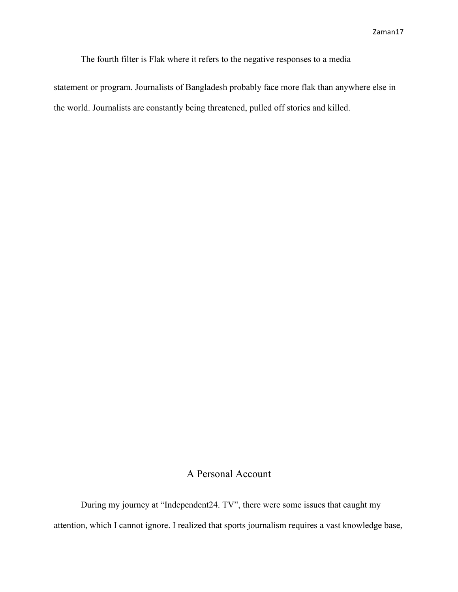The fourth filter is Flak where it refers to the negative responses to a media

statement or program. Journalists of Bangladesh probably face more flak than anywhere else in the world. Journalists are constantly being threatened, pulled off stories and killed.

# A Personal Account

During my journey at "Independent24. TV", there were some issues that caught my attention, which I cannot ignore. I realized that sports journalism requires a vast knowledge base,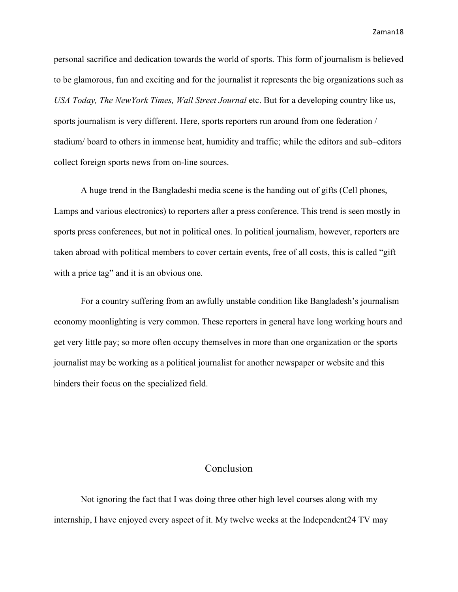personal sacrifice and dedication towards the world of sports. This form of journalism is believed to be glamorous, fun and exciting and for the journalist it represents the big organizations such as *USA Today, The NewYork Times, Wall Street Journal* etc. But for a developing country like us, sports journalism is very different. Here, sports reporters run around from one federation / stadium/ board to others in immense heat, humidity and traffic; while the editors and sub–editors collect foreign sports news from on-line sources.

A huge trend in the Bangladeshi media scene is the handing out of gifts (Cell phones, Lamps and various electronics) to reporters after a press conference. This trend is seen mostly in sports press conferences, but not in political ones. In political journalism, however, reporters are taken abroad with political members to cover certain events, free of all costs, this is called "gift with a price tag" and it is an obvious one.

For a country suffering from an awfully unstable condition like Bangladesh's journalism economy moonlighting is very common. These reporters in general have long working hours and get very little pay; so more often occupy themselves in more than one organization or the sports journalist may be working as a political journalist for another newspaper or website and this hinders their focus on the specialized field.

## Conclusion

Not ignoring the fact that I was doing three other high level courses along with my internship, I have enjoyed every aspect of it. My twelve weeks at the Independent24 TV may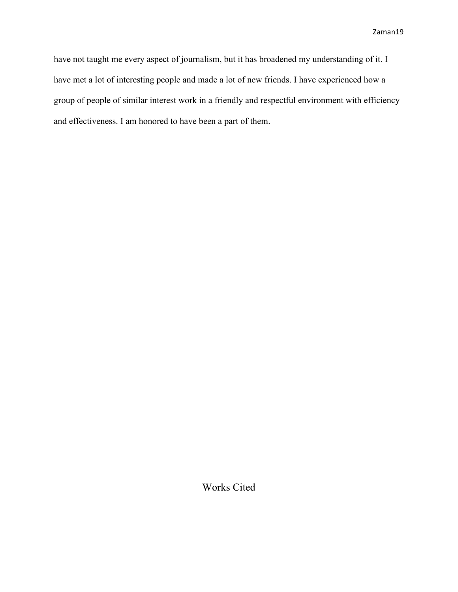have not taught me every aspect of journalism, but it has broadened my understanding of it. I have met a lot of interesting people and made a lot of new friends. I have experienced how a group of people of similar interest work in a friendly and respectful environment with efficiency and effectiveness. I am honored to have been a part of them.

Works Cited